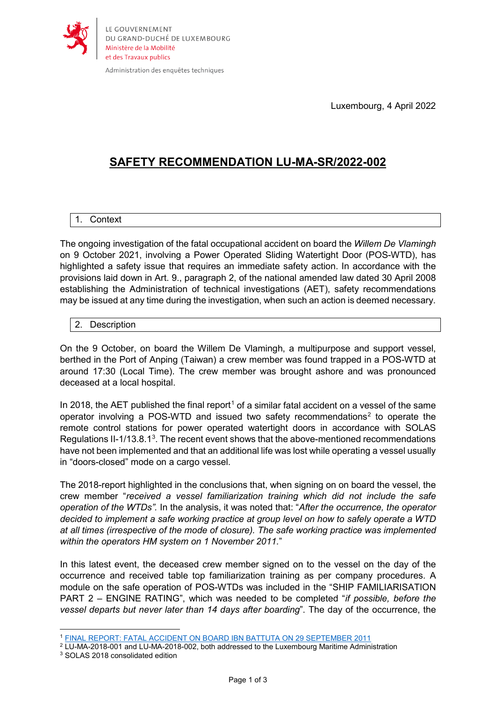

Administration des enquêtes techniques

Luxembourg, 4 April 2022

## **SAFETY RECOMMENDATION LU-MA-SR/2022-002**

## 1. Context

The ongoing investigation of the fatal occupational accident on board the *Willem De Vlamingh* on 9 October 2021, involving a Power Operated Sliding Watertight Door (POS-WTD), has highlighted a safety issue that requires an immediate safety action. In accordance with the provisions laid down in Art. 9., paragraph 2, of the national amended law dated 30 April 2008 establishing the Administration of technical investigations (AET), safety recommendations may be issued at any time during the investigation, when such an action is deemed necessary.

## 2. Description

On the 9 October, on board the Willem De Vlamingh, a multipurpose and support vessel, berthed in the Port of Anping (Taiwan) a crew member was found trapped in a POS-WTD at around 17:30 (Local Time). The crew member was brought ashore and was pronounced deceased at a local hospital.

In 20[1](#page-0-0)8, the AET published the final report<sup>1</sup> of a similar fatal accident on a vessel of the same operator involving a POS-WTD and issued two safety recommendations<sup>[2](#page-0-1)</sup> to operate the remote control stations for power operated watertight doors in accordance with SOLAS Regulations II-1/1[3](#page-0-2).8.1<sup>3</sup>. The recent event shows that the above-mentioned recommendations have not been implemented and that an additional life was lost while operating a vessel usually in "doors-closed" mode on a cargo vessel.

The 2018-report highlighted in the conclusions that, when signing on on board the vessel, the crew member "*received a vessel familiarization training which did not include the safe operation of the WTDs".* In the analysis, it was noted that: "*After the occurrence, the operator decided to implement a safe working practice at group level on how to safely operate a WTD at all times (irrespective of the mode of closure). The safe working practice was implemented within the operators HM system on 1 November 2011.*"

In this latest event, the deceased crew member signed on to the vessel on the day of the occurrence and received table top familiarization training as per company procedures. A module on the safe operation of POS-WTDs was included in the "SHIP FAMILIARISATION PART 2 – ENGINE RATING", which was needed to be completed "*if possible, before the vessel departs but never later than 14 days after boarding*". The day of the occurrence, the

<span id="page-0-1"></span><span id="page-0-0"></span><sup>2</sup> LU-MA-2018-001 and LU-MA-2018-002, both addressed to the Luxembourg Maritime Administration

 $\overline{a}$ <sup>1</sup> [FINAL REPORT: FATAL ACCIDENT ON BOARD IBN BATTUTA ON 29 SEPTEMBER 2011](https://aet.gouvernement.lu/dam-assets/l-administration/transports-maritimes/aet-marine-safety-investigation-report-battuta-final.pdf)

<span id="page-0-2"></span><sup>3</sup> SOLAS 2018 consolidated edition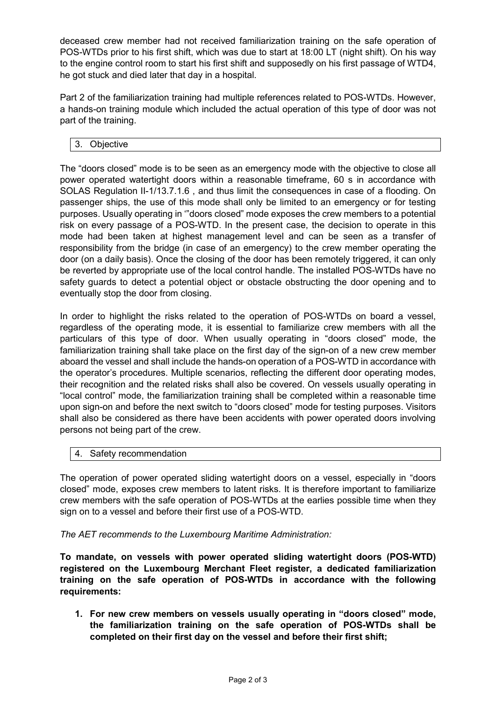deceased crew member had not received familiarization training on the safe operation of POS-WTDs prior to his first shift, which was due to start at 18:00 LT (night shift). On his way to the engine control room to start his first shift and supposedly on his first passage of WTD4, he got stuck and died later that day in a hospital.

Part 2 of the familiarization training had multiple references related to POS-WTDs. However, a hands-on training module which included the actual operation of this type of door was not part of the training.

3. Objective

The "doors closed" mode is to be seen as an emergency mode with the objective to close all power operated watertight doors within a reasonable timeframe, 60 s in accordance with SOLAS Regulation II-1/13.7.1.6 , and thus limit the consequences in case of a flooding. On passenger ships, the use of this mode shall only be limited to an emergency or for testing purposes. Usually operating in '"doors closed" mode exposes the crew members to a potential risk on every passage of a POS-WTD. In the present case, the decision to operate in this mode had been taken at highest management level and can be seen as a transfer of responsibility from the bridge (in case of an emergency) to the crew member operating the door (on a daily basis). Once the closing of the door has been remotely triggered, it can only be reverted by appropriate use of the local control handle. The installed POS-WTDs have no safety guards to detect a potential object or obstacle obstructing the door opening and to eventually stop the door from closing.

In order to highlight the risks related to the operation of POS-WTDs on board a vessel, regardless of the operating mode, it is essential to familiarize crew members with all the particulars of this type of door. When usually operating in "doors closed" mode, the familiarization training shall take place on the first day of the sign-on of a new crew member aboard the vessel and shall include the hands-on operation of a POS-WTD in accordance with the operator's procedures. Multiple scenarios, reflecting the different door operating modes, their recognition and the related risks shall also be covered. On vessels usually operating in "local control" mode, the familiarization training shall be completed within a reasonable time upon sign-on and before the next switch to "doors closed" mode for testing purposes. Visitors shall also be considered as there have been accidents with power operated doors involving persons not being part of the crew.

## 4. Safety recommendation

The operation of power operated sliding watertight doors on a vessel, especially in "doors closed" mode, exposes crew members to latent risks. It is therefore important to familiarize crew members with the safe operation of POS-WTDs at the earlies possible time when they sign on to a vessel and before their first use of a POS-WTD.

*The AET recommends to the Luxembourg Maritime Administration:*

**To mandate, on vessels with power operated sliding watertight doors (POS-WTD) registered on the Luxembourg Merchant Fleet register, a dedicated familiarization training on the safe operation of POS-WTDs in accordance with the following requirements:**

**1. For new crew members on vessels usually operating in "doors closed" mode, the familiarization training on the safe operation of POS-WTDs shall be completed on their first day on the vessel and before their first shift;**